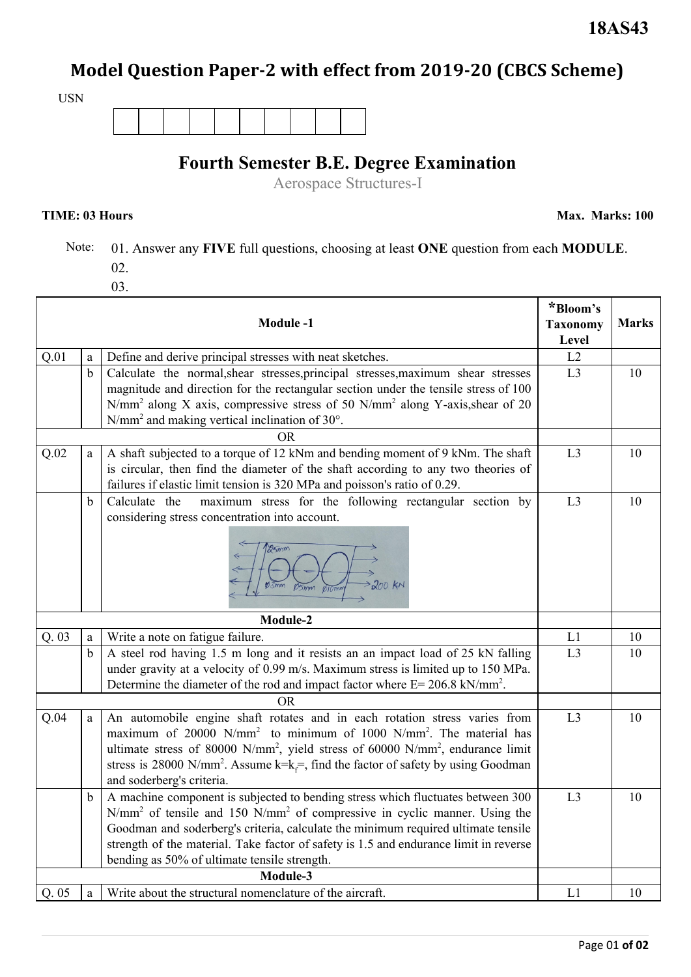# **Model Question Paper-2 with effect from 2019-20 (CBCS Scheme)**

USN

### **Fourth Semester B.E. Degree Examination**

Aerospace Structures-I

**TIME: 03 Hours Max. Marks: 100**

- Note: 01. Answer any **FIVE** full questions, choosing at least **ONE** question from each **MODULE**. 02.
	- 03.

| <b>Module-1</b> |             |                                                                                                                                                                                                                                                                                                                                                                                                                         |                | <b>Marks</b> |
|-----------------|-------------|-------------------------------------------------------------------------------------------------------------------------------------------------------------------------------------------------------------------------------------------------------------------------------------------------------------------------------------------------------------------------------------------------------------------------|----------------|--------------|
| Q.01            | a           | Define and derive principal stresses with neat sketches.                                                                                                                                                                                                                                                                                                                                                                | Level<br>L2    |              |
|                 | $\mathbf b$ | Calculate the normal, shear stresses, principal stresses, maximum shear stresses<br>magnitude and direction for the rectangular section under the tensile stress of 100<br>N/mm <sup>2</sup> along X axis, compressive stress of 50 N/mm <sup>2</sup> along Y-axis, shear of 20<br>$N/mm2$ and making vertical inclination of 30 $^{\circ}$ .                                                                           | L3             | 10           |
|                 |             | ΟR                                                                                                                                                                                                                                                                                                                                                                                                                      |                |              |
| Q.02            | a           | A shaft subjected to a torque of 12 kNm and bending moment of 9 kNm. The shaft<br>is circular, then find the diameter of the shaft according to any two theories of<br>failures if elastic limit tension is 320 MPa and poisson's ratio of 0.29.                                                                                                                                                                        | L3             | 10           |
|                 | $\mathbf b$ | maximum stress for the following rectangular section by<br>Calculate the<br>considering stress concentration into account.<br>25mm<br>200 KM                                                                                                                                                                                                                                                                            | L3             | 10           |
| Module-2        |             |                                                                                                                                                                                                                                                                                                                                                                                                                         |                |              |
| Q. 03           | a           | Write a note on fatigue failure.                                                                                                                                                                                                                                                                                                                                                                                        | L1             | 10           |
|                 | $\mathbf b$ | A steel rod having 1.5 m long and it resists an an impact load of 25 kN falling<br>under gravity at a velocity of 0.99 m/s. Maximum stress is limited up to 150 MPa.<br>Determine the diameter of the rod and impact factor where $E = 206.8$ kN/mm <sup>2</sup> .                                                                                                                                                      | L <sub>3</sub> | 10           |
|                 |             | <b>OR</b>                                                                                                                                                                                                                                                                                                                                                                                                               |                |              |
| Q.04            | a           | An automobile engine shaft rotates and in each rotation stress varies from<br>maximum of 20000 N/mm <sup>2</sup> to minimum of 1000 N/mm <sup>2</sup> . The material has<br>ultimate stress of 80000 N/mm <sup>2</sup> , yield stress of 60000 N/mm <sup>2</sup> , endurance limit<br>stress is 28000 N/mm <sup>2</sup> . Assume k=k $\equiv$ , find the factor of safety by using Goodman<br>and soderberg's criteria. | L3             | 10           |
|                 | $\mathbf b$ | A machine component is subjected to bending stress which fluctuates between 300<br>N/mm <sup>2</sup> of tensile and 150 N/mm <sup>2</sup> of compressive in cyclic manner. Using the<br>Goodman and soderberg's criteria, calculate the minimum required ultimate tensile<br>strength of the material. Take factor of safety is 1.5 and endurance limit in reverse<br>bending as 50% of ultimate tensile strength.      | L3             | 10           |
| Module-3        |             |                                                                                                                                                                                                                                                                                                                                                                                                                         |                |              |
| Q.05            | a           | Write about the structural nomenclature of the aircraft.                                                                                                                                                                                                                                                                                                                                                                | L1             | 10           |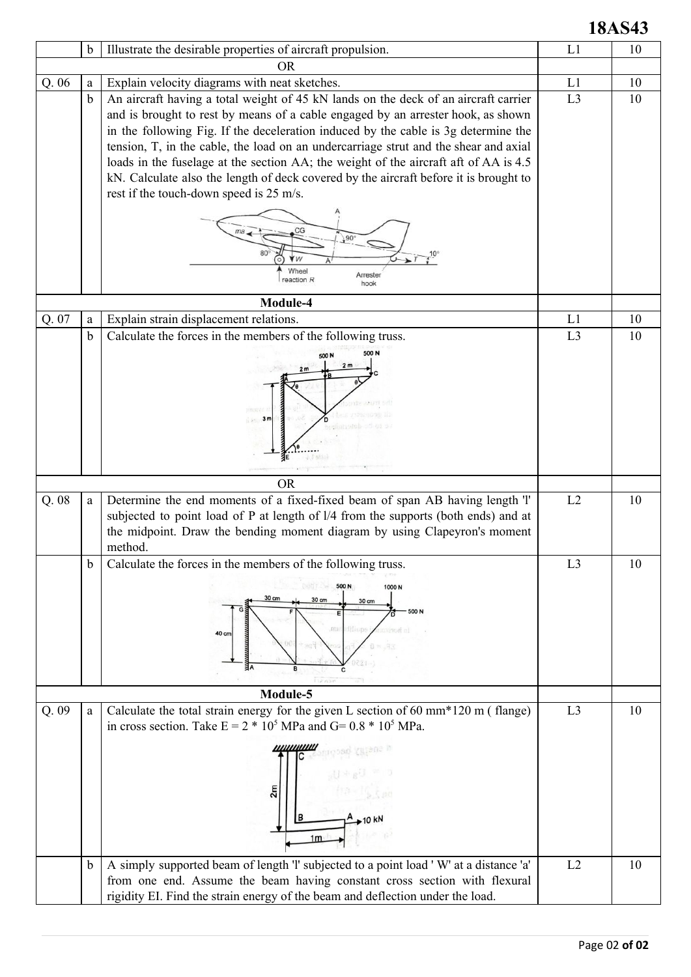## **18AS43**

|       | b           | Illustrate the desirable properties of aircraft propulsion.                           | L1             | 10 |
|-------|-------------|---------------------------------------------------------------------------------------|----------------|----|
|       |             | <b>OR</b>                                                                             |                |    |
| Q. 06 | a           | Explain velocity diagrams with neat sketches.                                         | L1             | 10 |
|       | $\mathbf b$ | An aircraft having a total weight of 45 kN lands on the deck of an aircraft carrier   | L <sub>3</sub> | 10 |
|       |             | and is brought to rest by means of a cable engaged by an arrester hook, as shown      |                |    |
|       |             | in the following Fig. If the deceleration induced by the cable is 3g determine the    |                |    |
|       |             | tension, T, in the cable, the load on an undercarriage strut and the shear and axial  |                |    |
|       |             | loads in the fuselage at the section AA; the weight of the aircraft aft of AA is 4.5  |                |    |
|       |             | kN. Calculate also the length of deck covered by the aircraft before it is brought to |                |    |
|       |             | rest if the touch-down speed is 25 m/s.                                               |                |    |
|       |             |                                                                                       |                |    |
|       |             |                                                                                       |                |    |
|       |             | $.90^{\circ}$                                                                         |                |    |
|       |             |                                                                                       |                |    |
|       |             | 'W<br>Wheel                                                                           |                |    |
|       |             | Arrester<br>reaction R<br>hook                                                        |                |    |
|       |             | Module-4                                                                              |                |    |
| Q. 07 | a           | Explain strain displacement relations.                                                | L1             | 10 |
|       | b           | Calculate the forces in the members of the following truss.                           | L <sub>3</sub> | 10 |
|       |             | 500 N                                                                                 |                |    |
|       |             | 500 N<br>2 <sub>m</sub>                                                               |                |    |
|       |             | 2m                                                                                    |                |    |
|       |             |                                                                                       |                |    |
|       |             |                                                                                       |                |    |
|       |             | 3 <sub>m</sub>                                                                        |                |    |
|       |             |                                                                                       |                |    |
|       |             |                                                                                       |                |    |
|       |             |                                                                                       |                |    |
|       |             | <b>OR</b>                                                                             |                |    |
| Q.08  | a           | Determine the end moments of a fixed-fixed beam of span AB having length 'l'          | L2             | 10 |
|       |             | subjected to point load of P at length of l/4 from the supports (both ends) and at    |                |    |
|       |             | the midpoint. Draw the bending moment diagram by using Clapeyron's moment             |                |    |
|       |             | method.                                                                               |                |    |
|       | b           | Calculate the forces in the members of the following truss.                           | L <sub>3</sub> | 10 |
|       |             |                                                                                       |                |    |
|       |             | 500 N<br>1000 <sub>N</sub><br>30 cm<br>30 cm                                          |                |    |
|       |             | 30 cm<br>500 N                                                                        |                |    |
|       |             | diliuns<br><b>CELLED</b>                                                              |                |    |
|       |             | 40 cm                                                                                 |                |    |
|       |             |                                                                                       |                |    |
|       |             | âА<br>B                                                                               |                |    |
|       |             | isense                                                                                |                |    |
|       |             | Module-5                                                                              |                |    |
| Q.09  | a           | Calculate the total strain energy for the given L section of 60 mm $*120$ m (flange)  | L <sub>3</sub> | 10 |
|       |             | in cross section. Take $E = 2 * 10^5$ MPa and G= 0.8 $* 10^5$ MPa.                    |                |    |
|       |             | ,,,,,,,,,,,,                                                                          |                |    |
|       |             |                                                                                       |                |    |
|       |             |                                                                                       |                |    |
|       |             | 2m                                                                                    |                |    |
|       |             |                                                                                       |                |    |
|       |             | в                                                                                     |                |    |
|       |             | 1 <sub>m</sub>                                                                        |                |    |
|       |             |                                                                                       |                |    |
|       | $\mathbf b$ | A simply supported beam of length 'l' subjected to a point load 'W' at a distance 'a' | L2             | 10 |
|       |             | from one end. Assume the beam having constant cross section with flexural             |                |    |
|       |             | rigidity EI. Find the strain energy of the beam and deflection under the load.        |                |    |